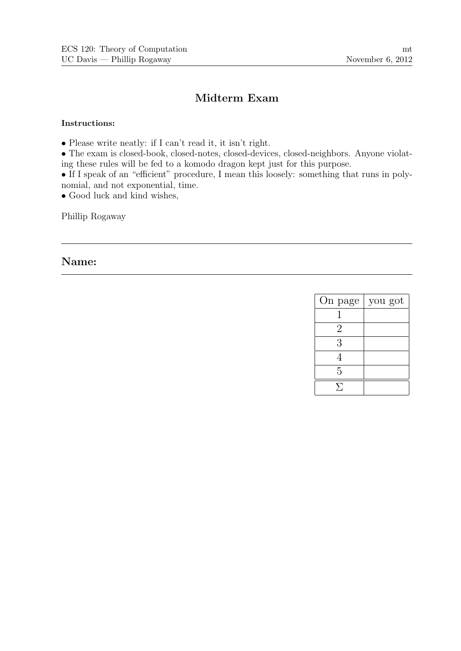# Midterm Exam

### Instructions:

• Please write neatly: if I can't read it, it isn't right.

• The exam is closed-book, closed-notes, closed-devices, closed-neighbors. Anyone violating these rules will be fed to a komodo dragon kept just for this purpose.

• If I speak of an "efficient" procedure, I mean this loosely: something that runs in polynomial, and not exponential, time.

• Good luck and kind wishes,

Phillip Rogaway

## Name:

| On page        | you got |
|----------------|---------|
|                |         |
| $\overline{2}$ |         |
| 3              |         |
| 4              |         |
| 5              |         |
|                |         |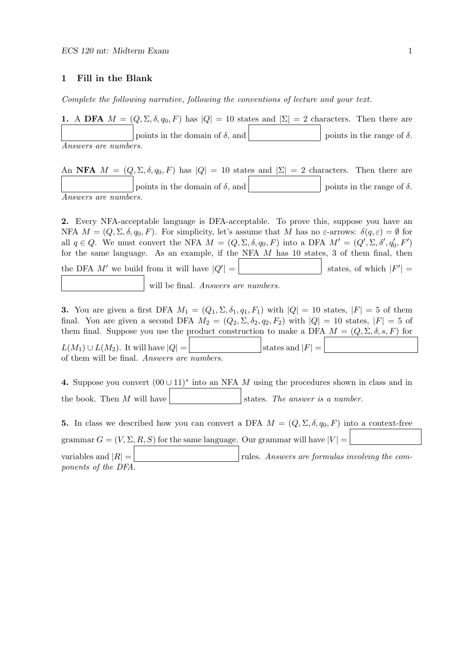#### 1 Fill in the Blank

Complete the following narrative, following the conventions of lecture and your text.

|                             | 1. A DFA $M = (Q, \Sigma, \delta, q_0, F)$ has $ Q  = 10$ states and $ \Sigma  = 2$ characters. Then there are |                                   |
|-----------------------------|----------------------------------------------------------------------------------------------------------------|-----------------------------------|
|                             | points in the domain of $\delta$ , and                                                                         | points in the range of $\delta$ . |
| <i>Answers are numbers.</i> |                                                                                                                |                                   |

An NFA  $M = (Q, \Sigma, \delta, q_0, F)$  has  $|Q| = 10$  states and  $|\Sigma| = 2$  characters. Then there are points in the domain of  $\delta$ , and points in the range of  $\delta$ . Answers are numbers.

2. Every NFA-acceptable language is DFA-acceptable. To prove this, suppose you have an NFA  $M = (Q, \Sigma, \delta, q_0, F)$ . For simplicity, let's assume that M has no  $\varepsilon$ -arrows:  $\delta(q, \varepsilon) = \emptyset$  for all  $q \in Q$ . We must convert the NFA  $M = (Q, \Sigma, \delta, q_0, F)$  into a DFA  $M' = (Q', \Sigma, \delta', q'_0, F')$ for the same language. As an example, if the NFA  $M$  has 10 states, 3 of them final, then the DFA  $M'$  we build from it will have  $|Q'|$  =  $| = |$  states, of which  $|F'| =$ will be final. Answers are numbers.

3. You are given a first DFA  $M_1 = (Q_1, \Sigma, \delta_1, q_1, F_1)$  with  $|Q| = 10$  states,  $|F| = 5$  of them final. You are given a second DFA  $M_2 = (Q_2, \Sigma, \delta_2, q_2, F_2)$  with  $|Q| = 10$  states,  $|F| = 5$  of them final. Suppose you use the product construction to make a DFA  $M = (Q, \Sigma, \delta, s, F)$  for

 $L(M_1) \cup L(M_2)$ . It will have  $|Q| =$  states and  $|F|$ of them will be final. Answers are numbers.

```
4. Suppose you convert (00 \cup 11)^* into an NFA M using the procedures shown in class and in
the book. Then M will have \vert states. The answer is a number.
```
5. In class we described how you can convert a DFA  $M = (Q, \Sigma, \delta, q_0, F)$  into a context-free grammar  $G = (V, \Sigma, R, S)$  for the same language. Our grammar will have  $|V| =$ variables and  $|R| =$  rules. Answers are formulas involving the com-

ponents of the DFA.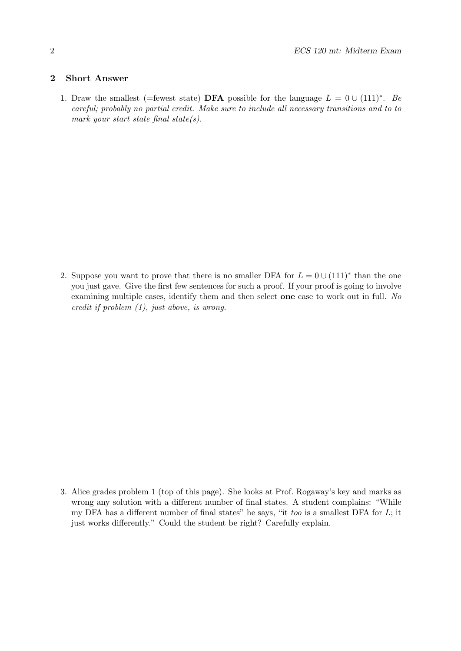### 2 Short Answer

1. Draw the smallest (=fewest state) **DFA** possible for the language  $L = 0 \cup (111)^*$ . Be careful; probably no partial credit. Make sure to include all necessary transitions and to to mark your start state final state(s).

2. Suppose you want to prove that there is no smaller DFA for  $L = 0 \cup (111)^*$  than the one you just gave. Give the first few sentences for such a proof. If your proof is going to involve examining multiple cases, identify them and then select one case to work out in full. No credit if problem (1), just above, is wrong.

3. Alice grades problem 1 (top of this page). She looks at Prof. Rogaway's key and marks as wrong any solution with a different number of final states. A student complains: "While my DFA has a different number of final states" he says, "it too is a smallest DFA for  $L$ ; it just works differently." Could the student be right? Carefully explain.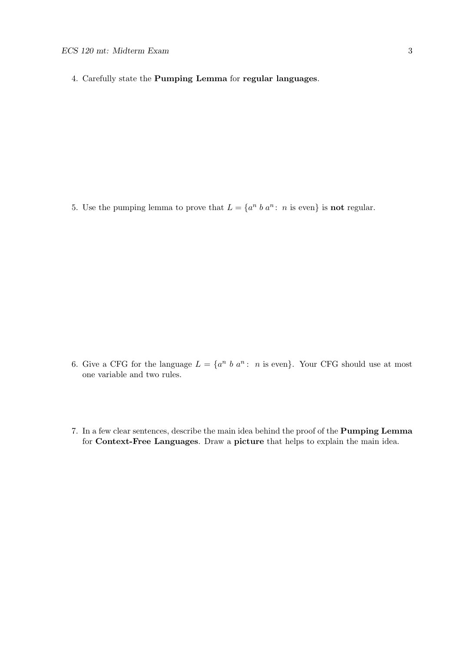4. Carefully state the Pumping Lemma for regular languages.

5. Use the pumping lemma to prove that  $L = \{a^n \, b \, a^n : n \text{ is even}\}$  is **not** regular.

- 6. Give a CFG for the language  $L = \{a^n \; b \; a^n : n \text{ is even}\}\$ . Your CFG should use at most one variable and two rules.
- 7. In a few clear sentences, describe the main idea behind the proof of the Pumping Lemma for Context-Free Languages. Draw a picture that helps to explain the main idea.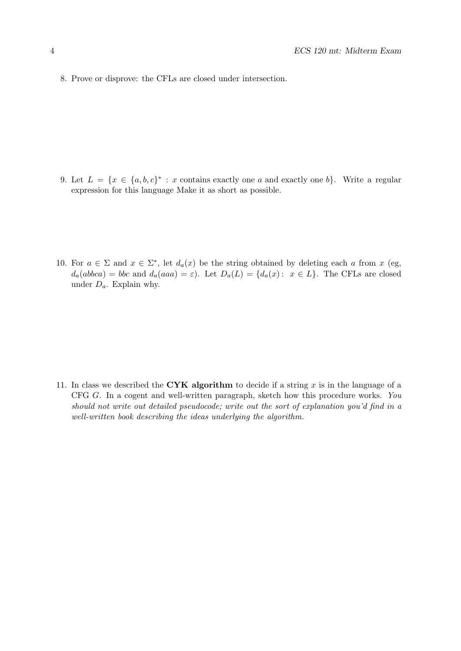8. Prove or disprove: the CFLs are closed under intersection.

- 9. Let  $L = \{x \in \{a, b, c\}^* : x \text{ contains exactly one } a \text{ and exactly one } b\}.$  Write a regular expression for this language Make it as short as possible.
- 10. For  $a \in \Sigma$  and  $x \in \Sigma^*$ , let  $d_a(x)$  be the string obtained by deleting each a from x (eg,  $d_a(abbca) = bbc$  and  $d_a(aaa) = \varepsilon$ . Let  $D_a(L) = \{d_a(x): x \in L\}$ . The CFLs are closed under  $D_a$ . Explain why.

11. In class we described the CYK algorithm to decide if a string x is in the language of a CFG G. In a cogent and well-written paragraph, sketch how this procedure works. You should not write out detailed pseudocode; write out the sort of explanation you'd find in a well-written book describing the ideas underlying the algorithm.